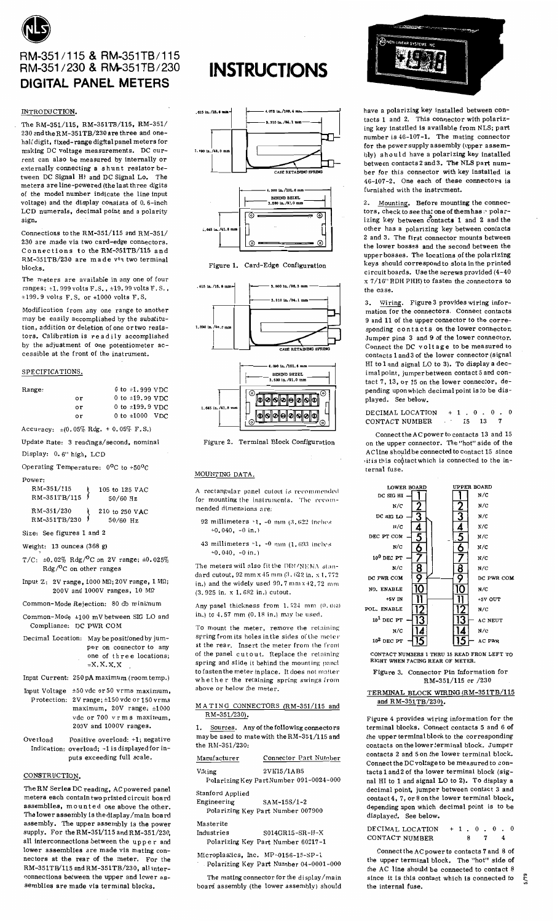

**DIGITAL PANEL METERS** 

#### INTRODUCTION.

The RM-351/115, RM-351TB/115, RM-351/ 230 and the RM-351TB/230 are three and onehalf digit, fixed-range digital panel meters for making DC voltage measurements. DC current can also be measured by internally or externally connecting a shunt resistor between DC Signal Hi and DC Signal Lo. The meters are line-powered (the last three digits of the model number indicate the line input voltage) and the display consists of 0.6-inch LCD numerals, decimal point and a polarity sign.

Connections to the RM-351/115 and RM-351/ 230 are made via two card-edge connectors. Connections to the RM-351TB/115 and RM-351TB/230 are made via two terminal blocks.

The meters are available in any one of four ranges; +1.999 volts F.S., +19.99 volts F.S.,  $\pm 199.9$  volts F.S. or  $\pm 1000$  volts F.S.

Modification from any one range to another may be easily accomplished by the substitution, addition or deletion of one or two resistors. Calibration is readily accomplished by the adjustment of one potentiometer accessible at the front of the instrument.

### SPECIFICATIONS.

| Range: |    | 0 to $\pm 1.999$ VDC |
|--------|----|----------------------|
|        | or | 0 to $\pm 19.99$ VDC |
|        | or | 0 to $\pm 199.9$ VDC |
|        | or | 0 to $\pm 1000$ VDC  |

Accuracy:  $\pm (0.05\% \text{ Rdg.} + 0.05\% \text{ F.S.})$ 

Update Rate: 3 readings/second, nominal Display: 0.6" high, LCD

| Operating Temperature: $0^{\circ}$ C to +50 $^{\circ}$ C |  |
|----------------------------------------------------------|--|
|----------------------------------------------------------|--|

| Downar. |  |  |
|---------|--|--|

| ower:        |                |
|--------------|----------------|
| RM-351/115   | 105 to 125 VAC |
| RM-351TB/115 | $50/60$ Hz     |
|              |                |

| RM-351/230   | 210 to 250 VAC |
|--------------|----------------|
| RM-351TB/230 | $50/60$ Hz     |

Size: See figures 1 and 2

Weight:  $13$  ounces  $(368 g)$ 

- T/C:  $\pm 0.02\%$  Rdg/<sup>O</sup>C on 2V range;  $\pm 0.025\%$ Rdg/<sup>O</sup>C on other ranges
- Input Z:  $2V$  range. 1000 MQ: 20V range. 1 MQ:  $200V$  and  $1000V$  ranges,  $10 M\Omega$

Common-Mode Rejection: 80 db minimum

- Common-Mode ±100 mV between SIG LO and Compliance: DC PWR COM
- Decimal Location: May be positioned by jumper on connector to any one of three locations:  $=X$ ,  $X$ ,  $X$ ,  $X$

Input Current: 250 pA maximum (room temp.)

- Input Voltage  $\pm 50$  vdc or 50 vrms maximum, Protection: 2V range; ±150 vdc or 150 vrms maximum, 20V range; ±1000 vde or 700 vrms maximum,  $200V$  and  $1000V$  ranges.
- Overload Positive overload: +1; negative Indication: overload; -1 is displayed for inputs exceeding full scale.

# CONSTRUCTION.

The RM Series DC reading, AC powered panel meters each contain two printed circuit board assemblies, mounted one above the other. The lower assembly is the display/main board assembly. The upper assembly is the power supply. For the RM-351/115 and RM-351/230, all interconnections between the upper and lower assemblies are made via mating connectors at the rear of the meter. For the RM-351TB/115 and RM-351TB/230, all interconnections between the upper and lower assemblies are made via terminal blocks.

# **INSTRUCTIONS**





Figure 2. Terminal Block Configuration

#### MOUNTING DATA.

rectangular panel cutout is recommended for mounting the instruments. The recommended dimensions are-

- 92 millimeters  $-1$ ,  $-0$  mm  $(3, 622$  inches  $+0.040, -0$  in.)
- 43 millimeters  $-1$ ,  $-0$  mm  $(1.693$  inches  $-0.040, -0$  in.)

The meters will also fit the DIN/NEMA standard cutout, 92 mm x 45 mm (3, 622 in, x 1, 772 in.) and the widely used  $99.7$  mm  $x$   $42.72$  mm (3.925 in. x 1.682 in.) cutout.

Any panel thickness from 1.524 mm (0.060 in.) to 4.57 mm (0.18 in.) may be used.

To mount the meter, remove the retaining spring from its holes in the sides of the meter at the rear. Insert the meter from the front of the panel cutout. Replace the retaining spring and slide it behind the mounting panel to fasten the meter in place. It does not matter whether the retaining spring swings from above or below the meter.

### MATING CONNECTORS (RM-351/115 and RM-351/230).

Sources. Any of the following connectors may be used to mate with the RM-351/115 and the RM-351/230:

| Manufacturer                 | Connector Part Number                   |
|------------------------------|-----------------------------------------|
| Viking                       | 2VH15/1AB5                              |
|                              | Polarizing Key Part Number 091-0024-000 |
| Stanford Applied             |                                         |
| Engineering                  | SAM-15S/1-2                             |
|                              | Polarizing Key Part Number 007900       |
| Masterite                    |                                         |
| $T_{11}$ . And a short in an | oot ich it v                            |

 $SO14$ GR15-SR-H- $\times$ Industries Polarizing Key Part Number 60217-1

Microplastics. Inc. MP-0156-15-SP-1 Polarizing Key Part Number 04-0001-000

The mating connector for the display/main board assembly (the lower assembly) should



have a polarizing key installed between contacts 1 and 2. This connector with polarizing key installed is available from NLS; part number is  $46-107-1$ . The mating connector for the power supply assembly (upper assembly) should have a polarizing key installed between contacts 2 and 3. The NLS part number for this connector with key installed is 46-107-2. One each of these connectors is furnished with the instrument.

2. Mounting. Before mounting the connectors, check to see that one of them has a polarizing key between contacts 1 and 2 and the other has a polarizing key between contacts 2 and 3. The first connector mounts between the lower bosses and the second between the upper bosses. The locations of the polarizing keys should correspond to slots in the printed circuit boards. Use the screws provided (4-40)  $x$  7/16" RDH PHH) to fasten the connectors to the case.

3. Wiring. Figure 3 provides wiring infor-<br>mation for the connectors. Connect contacts 9 and 11 of the upper connector to the corresponding contacts on the lower connector. Jumper pins 3 and 9 of the lower connector. Connect the DC voltage to be measured to contacts 1 and 3 of the lower connector (signal HI to 1 and signal LO to 3). To display a decimal point, jumper between contact 5 and contact 7, 13, or 15 on the lower connector, depending upon which decimal point is to be displayed. See below.

DECIMAL LOCATION + 1 . 0 . 0 . 0<br>CONTACT NUMBER 15 13 7

Connect the AC power to contacts 13 and 15 on the upper connector. The "hot" side of the AC line should be connected to contact 15 since itis this contact which is connected to the internal fuse.



CONTACT NUMBERS 1 THRU 15 READ FROM LEFT TO<br>RIGHT WHEN FACING REAR OF METER.

Figure 3. Connector Pin Information for RM-351/115 or /230

## TERMINAL BLOCK WIRING (RM-351TB/115 and RM-351TB/230).

Figure 4 provides wiring information for the terminal blocks. Connect contacts 5 and 6 of the upper terminal block to the corresponding contacts on the lower terminal block. Jumper contacts 2 and 5 on the lower terminal block. Connect the DC voltage to be measured to contacts 1 and 2 of the lower terminal block (signal HI to 1 and signal LO to 2). To display a decimal point, jumper between contact 3 and contact 4, 7, or 8 on the lower terminal block, depending upon which decimal point is to be displayed. See below.

| DECIMAL LOCATION | $+1.0.0.0$ |  |    |  |   |  |
|------------------|------------|--|----|--|---|--|
| CONTACT NUMBER   |            |  | 87 |  | 4 |  |

Connect the AC power to contacts 7 and 8 of the upper terminal block. The "hot" side of the AC line should be connected to contact 8 since it is this contact which is connected to the internal fuse.